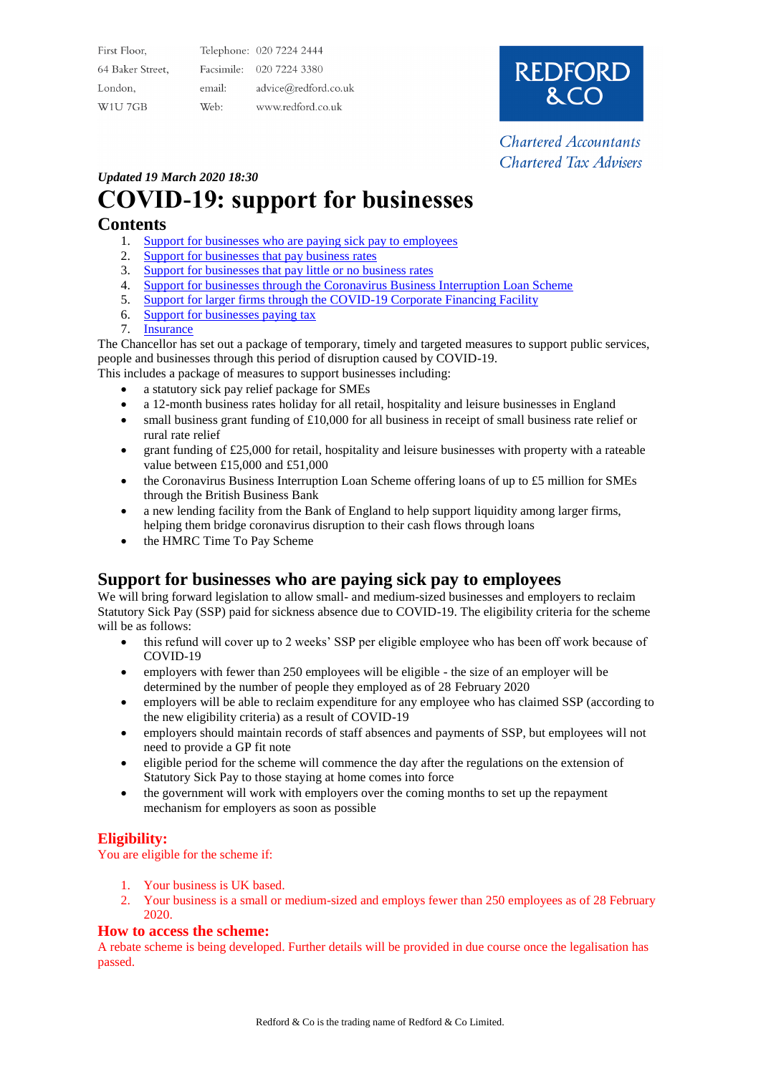| First Floor,                    |        | Telephone: 020 7224 2444 |
|---------------------------------|--------|--------------------------|
| 64 Baker Street,                |        | Facsimile: 020 7224 3380 |
| London,                         | email: | advice@redford.co.uk     |
| W <sub>1</sub> U <sub>7GB</sub> | Web:   | www.redford.co.uk        |



**Chartered Accountants Chartered Tax Advisers** 

### *Updated 19 March 2020 18:30*

# **COVID-19: support for businesses**

# **Contents**

- 1. [Support for businesses who are paying sick pay to employees](https://www.gov.uk/government/publications/guidance-to-employers-and-businesses-about-covid-19/covid-19-support-for-businesses#support-for-businesses-who-are-paying-sick-pay-to-employees)
- 2. [Support for businesses that pay business rates](https://www.gov.uk/government/publications/guidance-to-employers-and-businesses-about-covid-19/covid-19-support-for-businesses#support-for-businesses-that-pay-business-rates)
- 3. [Support for businesses that pay little or no business rates](https://www.gov.uk/government/publications/guidance-to-employers-and-businesses-about-covid-19/covid-19-support-for-businesses#support-for-businesses-that-pay-little-or-no-business-rates)
- 4. [Support for businesses through the Coronavirus Business Interruption Loan Scheme](https://www.gov.uk/government/publications/guidance-to-employers-and-businesses-about-covid-19/covid-19-support-for-businesses#support-for-businesses-through-the-coronavirus-business-interruption-loan-scheme)
- 5. [Support for larger firms through the COVID-19 Corporate Financing Facility](https://www.gov.uk/government/publications/guidance-to-employers-and-businesses-about-covid-19/covid-19-support-for-businesses#support-for-larger-firms-through-the-covid-19-corporate-financing-facility)
- 6. [Support for businesses paying tax](https://www.gov.uk/government/publications/guidance-to-employers-and-businesses-about-covid-19/covid-19-support-for-businesses#support-for-businesses-paying-tax)
- 7. [Insurance](https://www.gov.uk/government/publications/guidance-to-employers-and-businesses-about-covid-19/covid-19-support-for-businesses#insurance)

The Chancellor has set out a package of temporary, timely and targeted measures to support public services, people and businesses through this period of disruption caused by COVID-19.

This includes a package of measures to support businesses including:

- a statutory sick pay relief package for SMEs
- a 12-month business rates holiday for all retail, hospitality and leisure businesses in England
- small business grant funding of £10,000 for all business in receipt of small business rate relief or rural rate relief
- grant funding of £25,000 for retail, hospitality and leisure businesses with property with a rateable value between £15,000 and £51,000
- the Coronavirus Business Interruption Loan Scheme offering loans of up to £5 million for SMEs through the British Business Bank
- a new lending facility from the Bank of England to help support liquidity among larger firms, helping them bridge coronavirus disruption to their cash flows through loans
- the HMRC Time To Pay Scheme

# **Support for businesses who are paying sick pay to employees**

We will bring forward legislation to allow small- and medium-sized businesses and employers to reclaim Statutory Sick Pay (SSP) paid for sickness absence due to COVID-19. The eligibility criteria for the scheme will be as follows:

- this refund will cover up to 2 weeks' SSP per eligible employee who has been off work because of COVID-19
- employers with fewer than 250 employees will be eligible the size of an employer will be determined by the number of people they employed as of 28 February 2020
- employers will be able to reclaim expenditure for any employee who has claimed SSP (according to the new eligibility criteria) as a result of COVID-19
- employers should maintain records of staff absences and payments of SSP, but employees will not need to provide a GP fit note
- eligible period for the scheme will commence the day after the regulations on the extension of Statutory Sick Pay to those staying at home comes into force
- the government will work with employers over the coming months to set up the repayment mechanism for employers as soon as possible

# **Eligibility:**

You are eligible for the scheme if:

- 1. Your business is UK based.
- 2. Your business is a small or medium-sized and employs fewer than 250 employees as of 28 February 2020.

#### **How to access the scheme:**

A rebate scheme is being developed. Further details will be provided in due course once the legalisation has passed.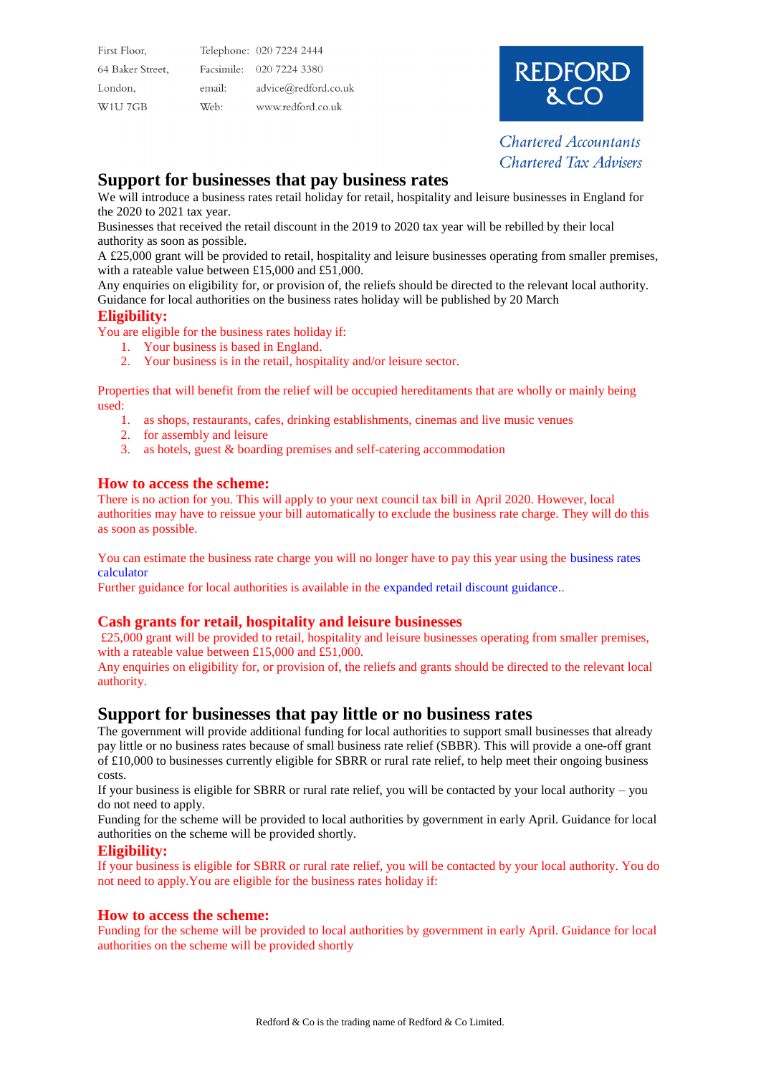| First Floor,                    |        | Telephone: 020 7224 2444 |
|---------------------------------|--------|--------------------------|
| 64 Baker Street,                |        | Facsimile: 020 7224 3380 |
| London,                         | email: | advice@redford.co.uk     |
| W <sub>1</sub> U <sub>7GB</sub> | Web:   | www.redford.co.uk        |



**Chartered Accountants Chartered Tax Advisers** 

# **Support for businesses that pay business rates**

We will introduce a business rates retail holiday for retail, hospitality and leisure businesses in England for the 2020 to 2021 tax year.

Businesses that received the retail discount in the 2019 to 2020 tax year will be rebilled by their local authority as soon as possible.

A £25,000 grant will be provided to retail, hospitality and leisure businesses operating from smaller premises, with a rateable value between £15,000 and £51,000.

Any enquiries on eligibility for, or provision of, the reliefs should be directed to the relevant local authority. Guidance for local authorities on the business rates holiday will be published by 20 March

#### **Eligibility:**

You are eligible for the business rates holiday if:

- 1. Your business is based in England.
- 2. Your business is in the retail, hospitality and/or leisure sector.

Properties that will benefit from the relief will be occupied hereditaments that are wholly or mainly being used:

- 1. as shops, restaurants, cafes, drinking establishments, cinemas and live music venues
- 2. for assembly and leisure
- 3. as hotels, guest & boarding premises and self-catering accommodation

#### **How to access the scheme:**

There is no action for you. This will apply to your next council tax bill in April 2020. However, local authorities may have to reissue your bill automatically to exclude the business rate charge. They will do this as soon as possible.

You can estimate the business rate charge you will no longer have to pay this year using the [business rates](https://www.gov.uk/calculate-your-business-rates)  [calculator](https://www.gov.uk/calculate-your-business-rates)

Further guidance for local authorities is available in the [expanded retail discount guidance](https://www.gov.uk/government/publications/business-rates-retail-discount-guidance)..

#### **Cash grants for retail, hospitality and leisure businesses**

£25,000 grant will be provided to retail, hospitality and leisure businesses operating from smaller premises, with a rateable value between £15,000 and £51,000.

Any enquiries on eligibility for, or provision of, the reliefs and grants should be directed to the relevant local authority.

# **Support for businesses that pay little or no business rates**

The government will provide additional funding for local authorities to support small businesses that already pay little or no business rates because of small business rate relief (SBBR). This will provide a one-off grant of £10,000 to businesses currently eligible for SBRR or rural rate relief, to help meet their ongoing business costs.

If your business is eligible for SBRR or rural rate relief, you will be contacted by your local authority – you do not need to apply.

Funding for the scheme will be provided to local authorities by government in early April. Guidance for local authorities on the scheme will be provided shortly.

#### **Eligibility:**

If your business is eligible for SBRR or rural rate relief, you will be contacted by your local authority. You do not need to apply.You are eligible for the business rates holiday if:

#### **How to access the scheme:**

Funding for the scheme will be provided to local authorities by government in early April. Guidance for local authorities on the scheme will be provided shortly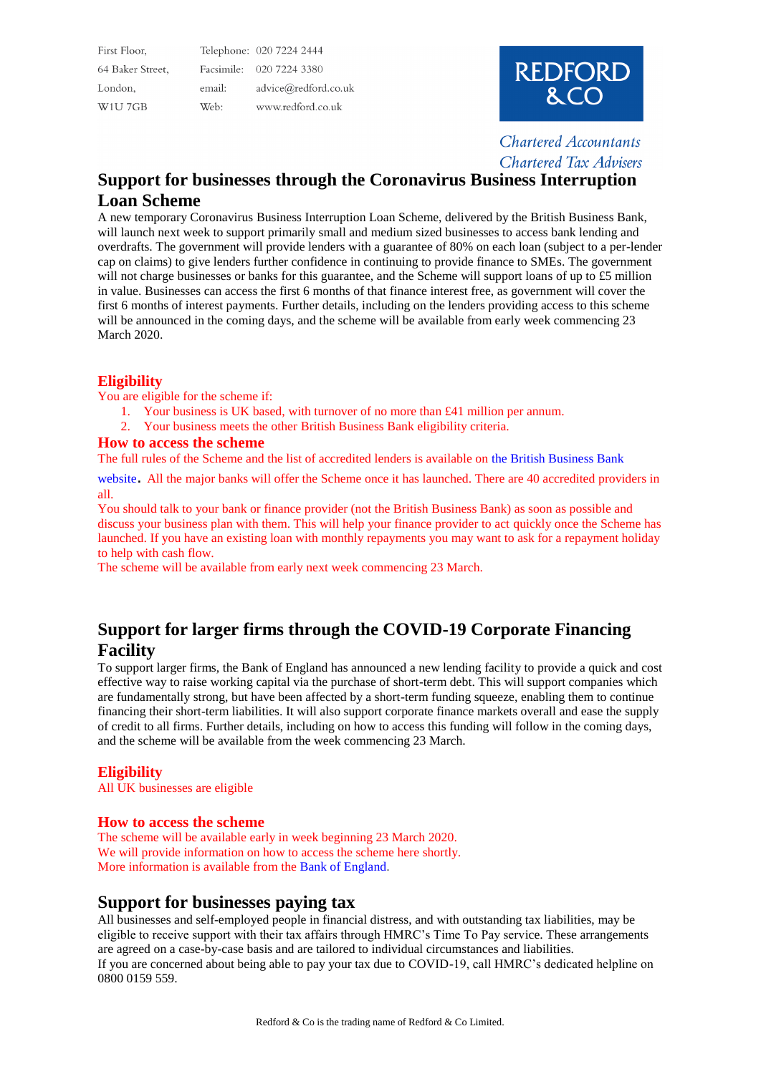First Floor, Telephone: 020 7224 2444 Facsimile: 020 7224 3380 64 Baker Street London, email: advice@redford.co.uk W1U7GB Web: www.redford.co.uk



**Chartered Accountants Chartered Tax Advisers** 

# **Support for businesses through the Coronavirus Business Interruption Loan Scheme**

A new temporary Coronavirus Business Interruption Loan Scheme, delivered by the British Business Bank, will launch next week to support primarily small and medium sized businesses to access bank lending and overdrafts. The government will provide lenders with a guarantee of 80% on each loan (subject to a per-lender cap on claims) to give lenders further confidence in continuing to provide finance to SMEs. The government will not charge businesses or banks for this guarantee, and the Scheme will support loans of up to £5 million in value. Businesses can access the first 6 months of that finance interest free, as government will cover the first 6 months of interest payments. Further details, including on the lenders providing access to this scheme will be announced in the coming days, and the scheme will be available from early week commencing 23 March 2020.

#### **Eligibility**

You are eligible for the scheme if:

- 1. Your business is UK based, with turnover of no more than £41 million per annum.
- 2. Your business meets the other British Business Bank eligibility criteria.

#### **How to access the scheme**

The full rules of the Scheme and the list of accredited lenders is available on the [British Business Bank](https://www.british-business-bank.co.uk/ourpartners/coronavirus-business-interruption-loan-scheme-cbils/) 

[website](https://www.british-business-bank.co.uk/ourpartners/coronavirus-business-interruption-loan-scheme-cbils/). All the major banks will offer the Scheme once it has launched. There are 40 accredited providers in all.

You should talk to your bank or finance provider (not the British Business Bank) as soon as possible and discuss your business plan with them. This will help your finance provider to act quickly once the Scheme has launched. If you have an existing loan with monthly repayments you may want to ask for a repayment holiday to help with cash flow.

The scheme will be available from early next week commencing 23 March.

# **Support for larger firms through the COVID-19 Corporate Financing Facility**

To support larger firms, the Bank of England has announced a new lending facility to provide a quick and cost effective way to raise working capital via the purchase of short-term debt. This will support companies which are fundamentally strong, but have been affected by a short-term funding squeeze, enabling them to continue financing their short-term liabilities. It will also support corporate finance markets overall and ease the supply of credit to all firms. Further details, including on how to access this funding will follow in the coming days, and the scheme will be available from the week commencing 23 March.

#### **Eligibility**

All UK businesses are eligible

#### **How to access the scheme**

The scheme will be available early in week beginning 23 March 2020. We will provide information on how to access the scheme here shortly. More information is available from the [Bank of England](https://www.bankofengland.co.uk/markets/market-notices/2020/ccff-market-notice-march-2020).

# **Support for businesses paying tax**

All businesses and self-employed people in financial distress, and with outstanding tax liabilities, may be eligible to receive support with their tax affairs through HMRC's Time To Pay service. These arrangements are agreed on a case-by-case basis and are tailored to individual circumstances and liabilities. If you are concerned about being able to pay your tax due to COVID-19, call HMRC's dedicated helpline on 0800 0159 559.